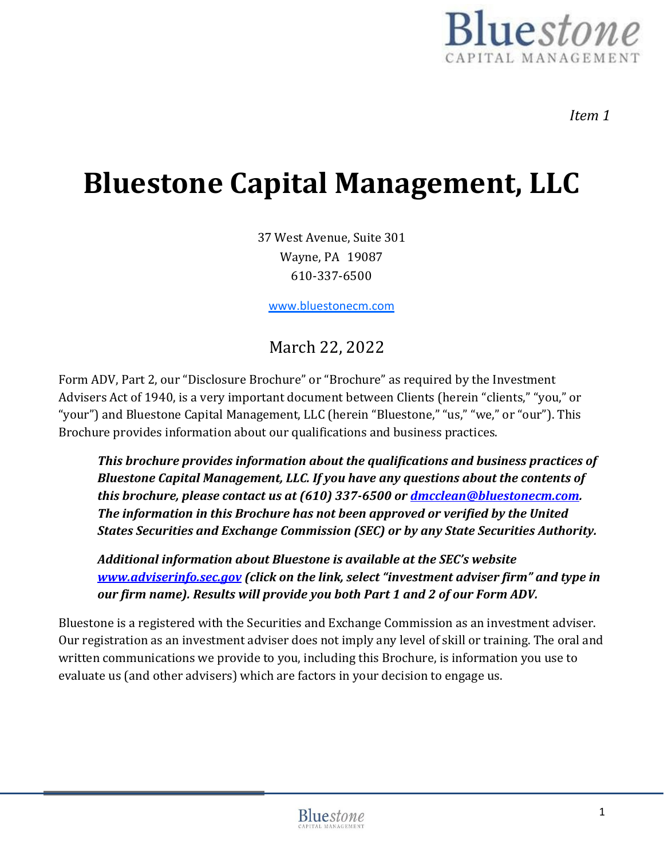

*Item 1*

# **Bluestone Capital Management, LLC**

37 West Avenue, Suite 301 Wayne, PA 19087 610-337-6500

[www.bluestonecm.com](http://www.bluestonecm.com/)

## March 22, 2022

Form ADV, Part 2, our "Disclosure Brochure" or "Brochure" as required by the Investment Advisers Act of 1940, is a very important document between Clients (herein "clients," "you," or "your") and Bluestone Capital Management, LLC (herein "Bluestone," "us," "we," or "our"). This Brochure provides information about our qualifications and business practices.

*This brochure provides information about the qualifications and business practices of Bluestone Capital Management, LLC. If you have any questions about the contents of this brochure, please contact us at (610) 337-6500 or [dmcclean@bluestonecm.com.](mailto:dmcclean@bluestonecm.com) The information in this Brochure has not been approved or verified by the United States Securities and Exchange Commission (SEC) or by any State Securities Authority.*

*Additional information about Bluestone is available at the SEC's website [www.adviserinfo.sec.gov](http://www.adviserinfo.sec.gov/) (click on the link, select "investment adviser firm" and type in our firm name). Results will provide you both Part 1 and 2 of our Form ADV.*

Bluestone is a registered with the Securities and Exchange Commission as an investment adviser. Our registration as an investment adviser does not imply any level of skill or training. The oral and written communications we provide to you, including this Brochure, is information you use to evaluate us (and other advisers) which are factors in your decision to engage us.

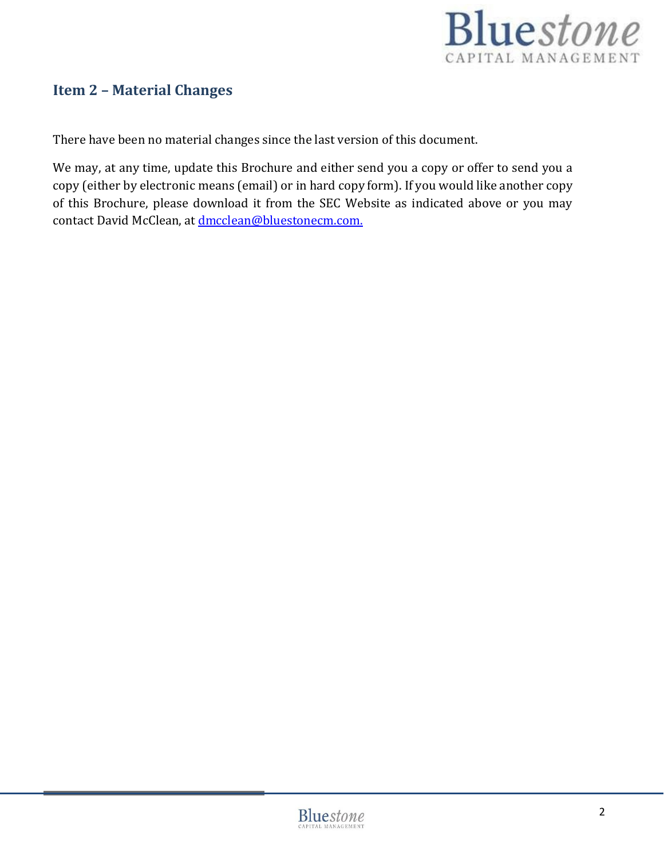

## <span id="page-1-0"></span>**Item 2 – Material Changes**

There have been no material changes since the last version of this document.

We may, at any time, update this Brochure and either send you a copy or offer to send you a copy (either by electronic means (email) or in hard copy form). If you would like another copy of this Brochure, please download it from the SEC Website as indicated above or you may contact David McClean, at [dmcclean@bluestonecm.com.](mailto:dmcclean@bluestonecm.com.)

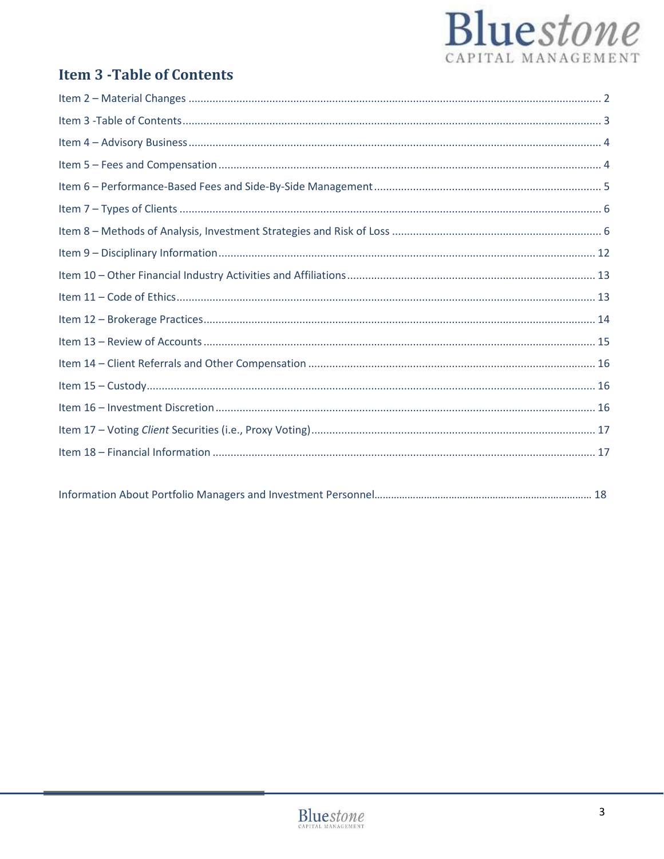# Bluestone CAPITAL MANAGEMENT

## <span id="page-2-0"></span>**Item 3 - Table of Contents**

|--|

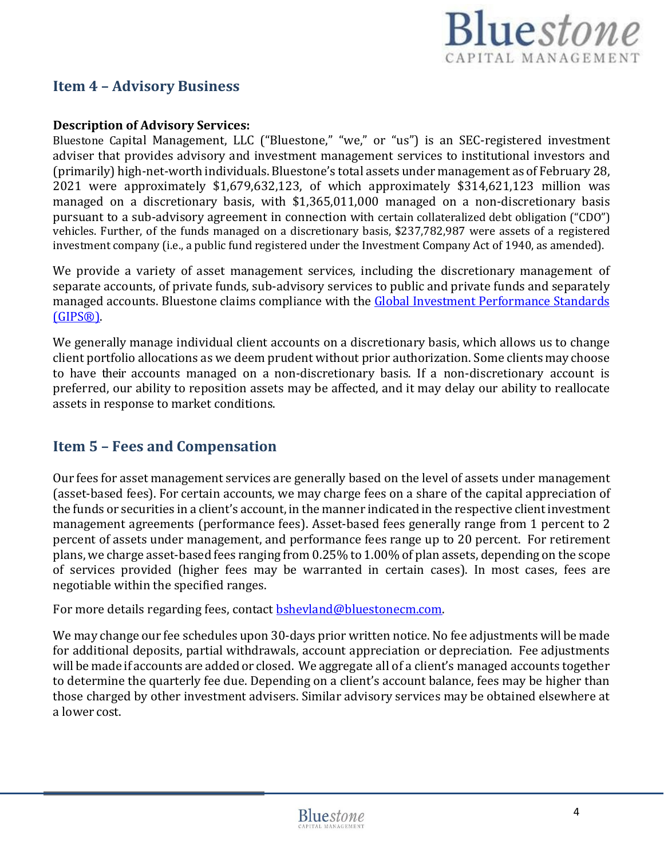

## <span id="page-3-0"></span>**Item 4 – Advisory Business**

#### **Description of Advisory Services:**

Bluestone Capital Management, LLC ("Bluestone," "we," or "us") is an SEC-registered investment adviser that provides advisory and investment management services to institutional investors and (primarily) high-net-worth individuals. Bluestone's total assets under management as of February 28, 2021 were approximately \$1,679,632,123, of which approximately \$314,621,123 million was managed on a discretionary basis, with \$1,365,011,000 managed on a non-discretionary basis pursuant to a sub-advisory agreement in connection with certain collateralized debt obligation ("CDO") vehicles. Further, of the funds managed on a discretionary basis, \$237,782,987 were assets of a registered investment company (i.e., a public fund registered under the Investment Company Act of 1940, as amended).

We provide a variety of asset management services, including the discretionary management of separate accounts, of private funds, sub-advisory services to public and private funds and separately managed accounts. Bluestone claims compliance with the **Global Investment Performance Standards** [\(GIPS®\).](https://www.gipsstandards.org/Pages/index.aspx) 

We generally manage individual client accounts on a discretionary basis, which allows us to change client portfolio allocations as we deem prudent without prior authorization. Some clients may choose to have their accounts managed on a non-discretionary basis. If a non-discretionary account is preferred, our ability to reposition assets may be affected, and it may delay our ability to reallocate assets in response to market conditions.

## <span id="page-3-1"></span>**Item 5 – Fees and Compensation**

Our fees for asset management services are generally based on the level of assets under management (asset-based fees). For certain accounts, we may charge fees on a share of the capital appreciation of the funds or securities in a client's account, in the manner indicated in the respective client investment management agreements (performance fees). Asset-based fees generally range from 1 percent to 2 percent of assets under management, and performance fees range up to 20 percent. For retirement plans, we charge asset-based fees ranging from 0.25% to 1.00% of plan assets, depending on the scope of services provided (higher fees may be warranted in certain cases). In most cases, fees are negotiable within the specified ranges.

For more details regarding fees, contac[t bshevland@bluestonecm.com.](mailto:bshevland@bluestonecm.com)

We may change our fee schedules upon 30-days prior written notice. No fee adjustments will be made for additional deposits, partial withdrawals, account appreciation or depreciation. Fee adjustments will be made if accounts are added or closed. We aggregate all of a client's managed accounts together to determine the quarterly fee due. Depending on a client's account balance, fees may be higher than those charged by other investment advisers. Similar advisory services may be obtained elsewhere at a lower cost.

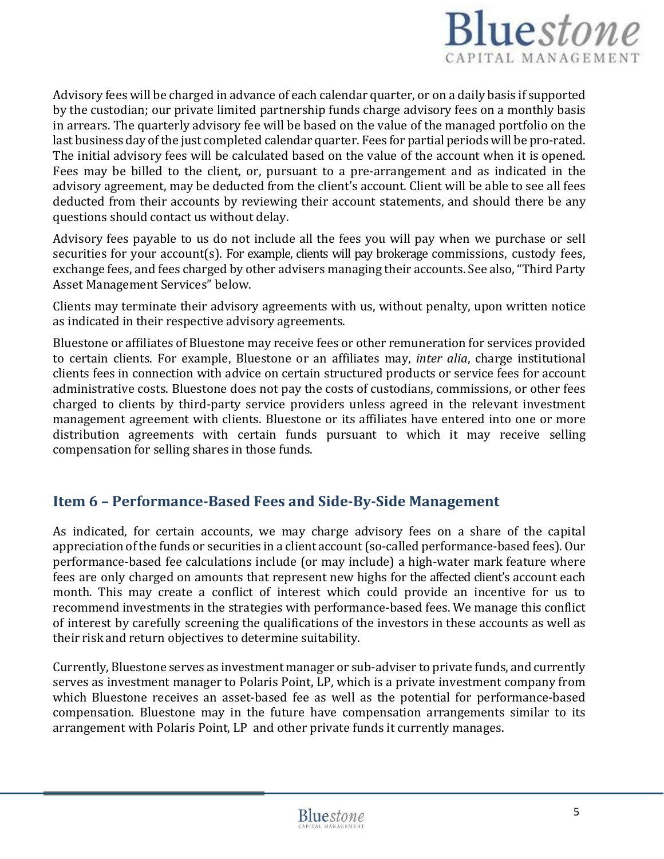

Advisory fees will be charged in advance of each calendar quarter, or on a daily basis if supported by the custodian; our private limited partnership funds charge advisory fees on a monthly basis in arrears. The quarterly advisory fee will be based on the value of the managed portfolio on the last business day of the just completed calendar quarter. Fees for partial periods will be pro-rated. The initial advisory fees will be calculated based on the value of the account when it is opened. Fees may be billed to the client, or, pursuant to a pre-arrangement and as indicated in the advisory agreement, may be deducted from the client's account. Client will be able to see all fees deducted from their accounts by reviewing their account statements, and should there be any questions should contact us without delay.

Advisory fees payable to us do not include all the fees you will pay when we purchase or sell securities for your account(s). For example, clients will pay brokerage commissions, custody fees, exchange fees, and fees charged by other advisers managing their accounts. See also, "Third Party Asset Management Services" below.

Clients may terminate their advisory agreements with us, without penalty, upon written notice as indicated in their respective advisory agreements.

Bluestone or affiliates of Bluestone may receive fees or other remuneration for services provided to certain clients. For example, Bluestone or an affiliates may, *inter alia*, charge institutional clients fees in connection with advice on certain structured products or service fees for account administrative costs. Bluestone does not pay the costs of custodians, commissions, or other fees charged to clients by third-party service providers unless agreed in the relevant investment management agreement with clients. Bluestone or its affiliates have entered into one or more distribution agreements with certain funds pursuant to which it may receive selling compensation for selling shares in those funds.

#### <span id="page-4-0"></span>**Item 6 – Performance-Based Fees and Side-By-Side Management**

As indicated, for certain accounts, we may charge advisory fees on a share of the capital appreciation of the funds or securities in a client account (so-called performance-based fees). Our performance-based fee calculations include (or may include) a high-water mark feature where fees are only charged on amounts that represent new highs for the affected client's account each month. This may create a conflict of interest which could provide an incentive for us to recommend investments in the strategies with performance-based fees. We manage this conflict of interest by carefully screening the qualifications of the investors in these accounts as well as their risk and return objectives to determine suitability.

Currently, Bluestone serves as investment manager or sub-adviser to private funds, and currently serves as investment manager to Polaris Point, LP, which is a private investment company from which Bluestone receives an asset-based fee as well as the potential for performance-based compensation. Bluestone may in the future have compensation arrangements similar to its arrangement with Polaris Point, LP and other private funds it currently manages.

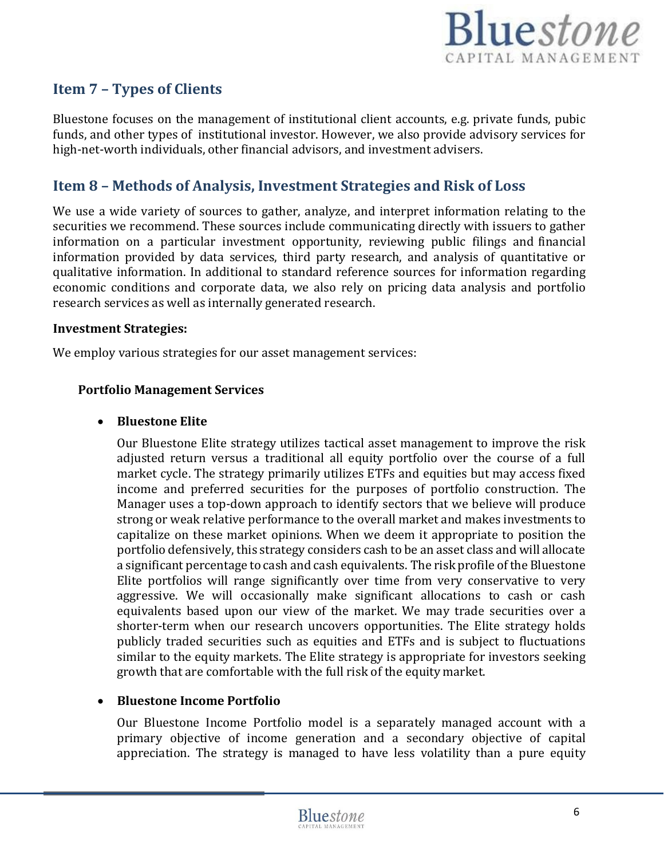

## <span id="page-5-0"></span>**Item 7 – Types of Clients**

Bluestone focuses on the management of institutional client accounts, e.g. private funds, pubic funds, and other types of institutional investor. However, we also provide advisory services for high-net-worth individuals, other financial advisors, and investment advisers.

## <span id="page-5-1"></span>**Item 8 – Methods of Analysis, Investment Strategies and Risk of Loss**

We use a wide variety of sources to gather, analyze, and interpret information relating to the securities we recommend. These sources include communicating directly with issuers to gather information on a particular investment opportunity, reviewing public filings and financial information provided by data services, third party research, and analysis of quantitative or qualitative information. In additional to standard reference sources for information regarding economic conditions and corporate data, we also rely on pricing data analysis and portfolio research services as well as internally generated research.

#### **Investment Strategies:**

We employ various strategies for our asset management services:

#### **Portfolio Management Services**

#### • **Bluestone Elite**

Our Bluestone Elite strategy utilizes tactical asset management to improve the risk adjusted return versus a traditional all equity portfolio over the course of a full market cycle. The strategy primarily utilizes ETFs and equities but may access fixed income and preferred securities for the purposes of portfolio construction. The Manager uses a top-down approach to identify sectors that we believe will produce strong or weak relative performance to the overall market and makes investments to capitalize on these market opinions. When we deem it appropriate to position the portfolio defensively, this strategy considers cash to be an asset class and will allocate a significant percentage to cash and cash equivalents. The risk profile ofthe Bluestone Elite portfolios will range significantly over time from very conservative to very aggressive. We will occasionally make significant allocations to cash or cash equivalents based upon our view of the market. We may trade securities over a shorter-term when our research uncovers opportunities. The Elite strategy holds publicly traded securities such as equities and ETFs and is subject to fluctuations similar to the equity markets. The Elite strategy is appropriate for investors seeking growth that are comfortable with the full risk of the equity market.

#### • **Bluestone Income Portfolio**

Our Bluestone Income Portfolio model is a separately managed account with a primary objective of income generation and a secondary objective of capital appreciation. The strategy is managed to have less volatility than a pure equity

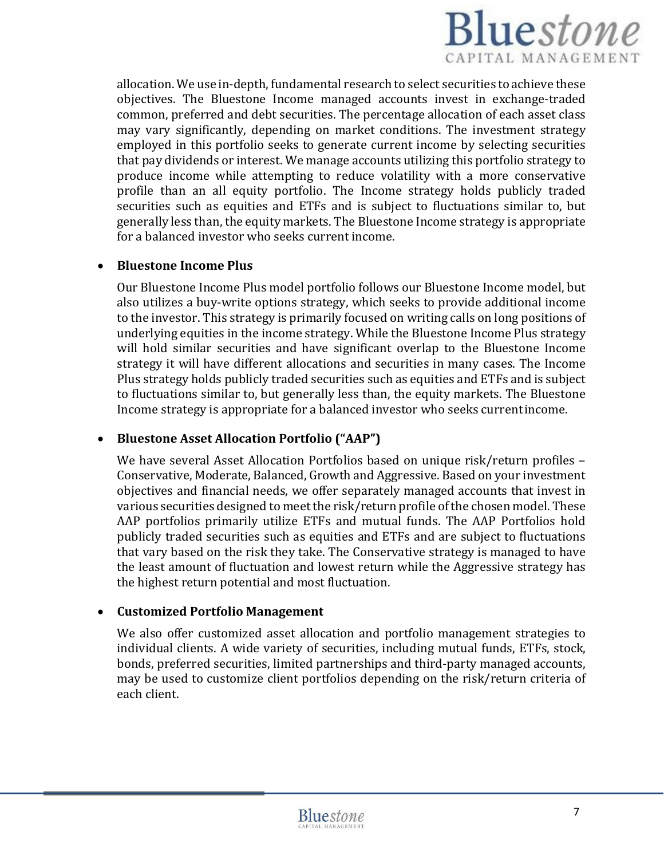

allocation. We use in-depth, fundamental research to select securities to achieve these objectives. The Bluestone Income managed accounts invest in exchange-traded common, preferred and debt securities. The percentage allocation of each asset class may vary significantly, depending on market conditions. The investment strategy employed in this portfolio seeks to generate current income by selecting securities that pay dividends or interest. We manage accounts utilizing this portfolio strategy to produce income while attempting to reduce volatility with a more conservative profile than an all equity portfolio. The Income strategy holds publicly traded securities such as equities and ETFs and is subject to fluctuations similar to, but generally less than, the equity markets. The Bluestone Income strategy is appropriate for a balanced investor who seeks current income.

#### • **Bluestone Income Plus**

Our Bluestone Income Plus model portfolio follows our Bluestone Income model, but also utilizes a buy-write options strategy, which seeks to provide additional income to the investor. This strategy is primarily focused on writing calls on long positions of underlying equities in the income strategy. While the Bluestone Income Plus strategy will hold similar securities and have significant overlap to the Bluestone Income strategy it will have different allocations and securities in many cases. The Income Plus strategy holds publicly traded securities such as equities and ETFs and is subject to fluctuations similar to, but generally less than, the equity markets. The Bluestone Income strategy is appropriate for a balanced investor who seeks currentincome.

#### • **Bluestone Asset Allocation Portfolio ("AAP")**

We have several Asset Allocation Portfolios based on unique risk/return profiles – Conservative, Moderate, Balanced, Growth and Aggressive. Based on your investment objectives and financial needs, we offer separately managed accounts that invest in various securities designed to meet the risk/return profile ofthe chosen model. These AAP portfolios primarily utilize ETFs and mutual funds. The AAP Portfolios hold publicly traded securities such as equities and ETFs and are subject to fluctuations that vary based on the risk they take. The Conservative strategy is managed to have the least amount of fluctuation and lowest return while the Aggressive strategy has the highest return potential and most fluctuation.

#### • **Customized Portfolio Management**

We also offer customized asset allocation and portfolio management strategies to individual clients. A wide variety of securities, including mutual funds, ETFs, stock, bonds, preferred securities, limited partnerships and third-party managed accounts, may be used to customize client portfolios depending on the risk/return criteria of each client.

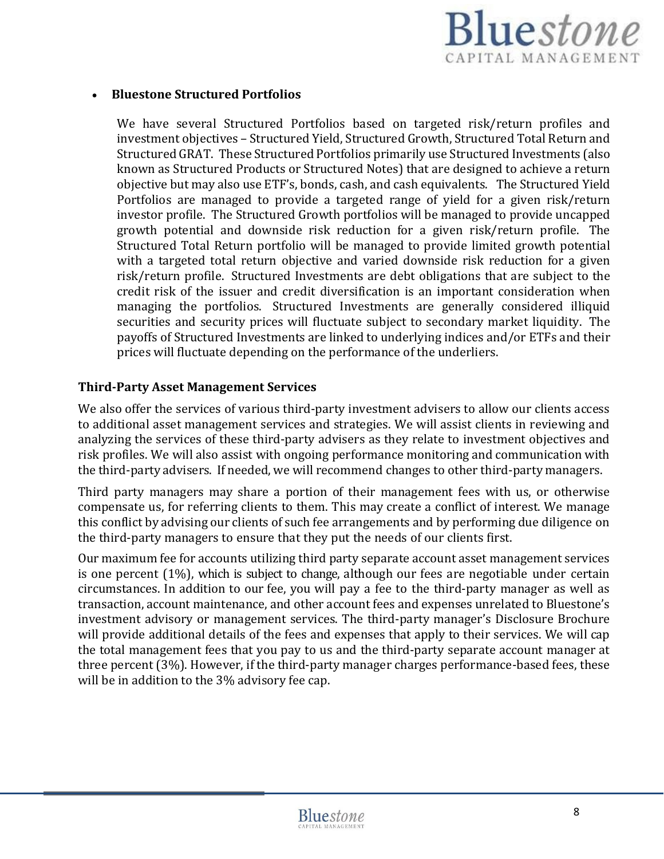

#### • **Bluestone Structured Portfolios**

We have several Structured Portfolios based on targeted risk/return profiles and investment objectives – Structured Yield, Structured Growth, Structured Total Return and Structured GRAT. These Structured Portfolios primarily use Structured Investments (also known as Structured Products or Structured Notes) that are designed to achieve a return objective but may also use ETF's, bonds, cash, and cash equivalents. The Structured Yield Portfolios are managed to provide a targeted range of yield for a given risk/return investor profile. The Structured Growth portfolios will be managed to provide uncapped growth potential and downside risk reduction for a given risk/return profile. The Structured Total Return portfolio will be managed to provide limited growth potential with a targeted total return objective and varied downside risk reduction for a given risk/return profile. Structured Investments are debt obligations that are subject to the credit risk of the issuer and credit diversification is an important consideration when managing the portfolios. Structured Investments are generally considered illiquid securities and security prices will fluctuate subject to secondary market liquidity. The payoffs of Structured Investments are linked to underlying indices and/or ETFs and their prices will fluctuate depending on the performance of the underliers.

#### **Third-Party Asset Management Services**

We also offer the services of various third-party investment advisers to allow our clients access to additional asset management services and strategies. We will assist clients in reviewing and analyzing the services of these third-party advisers as they relate to investment objectives and risk profiles. We will also assist with ongoing performance monitoring and communication with the third-party advisers. If needed, we will recommend changes to other third-party managers.

Third party managers may share a portion of their management fees with us, or otherwise compensate us, for referring clients to them. This may create a conflict of interest. We manage this conflict by advising our clients of such fee arrangements and by performing due diligence on the third-party managers to ensure that they put the needs of our clients first.

Our maximum fee for accounts utilizing third party separate account asset management services is one percent (1%), which is subject to change, although our fees are negotiable under certain circumstances. In addition to our fee, you will pay a fee to the third-party manager as well as transaction, account maintenance, and other account fees and expenses unrelated to Bluestone's investment advisory or management services. The third-party manager's Disclosure Brochure will provide additional details of the fees and expenses that apply to their services. We will cap the total management fees that you pay to us and the third-party separate account manager at three percent (3%). However, if the third-party manager charges performance-based fees, these will be in addition to the 3% advisory fee cap.

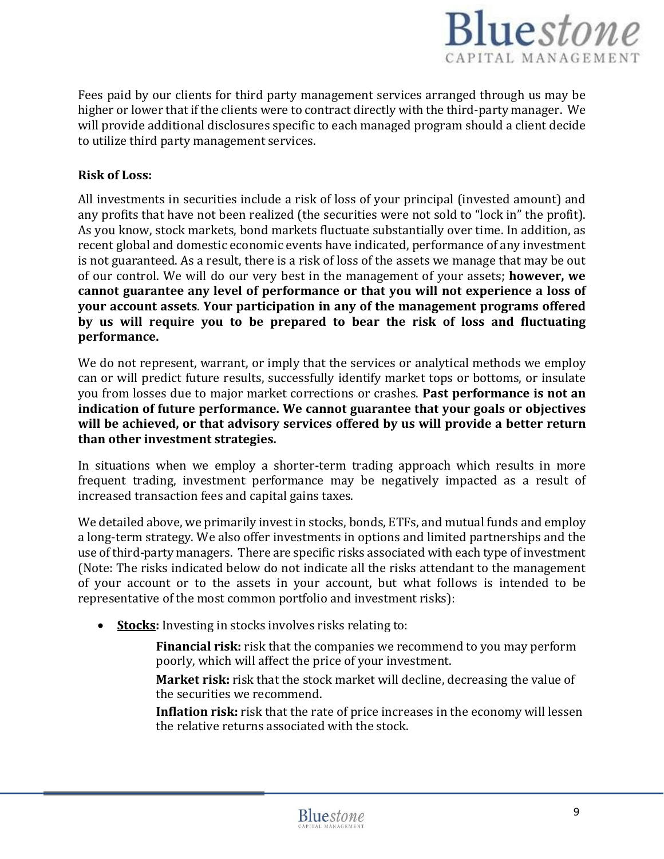

Fees paid by our clients for third party management services arranged through us may be higher or lower that if the clients were to contract directly with the third-party manager. We will provide additional disclosures specific to each managed program should a client decide to utilize third party management services.

#### **Risk of Loss:**

All investments in securities include a risk of loss of your principal (invested amount) and any profits that have not been realized (the securities were not sold to "lock in" the profit). As you know, stock markets, bond markets fluctuate substantially over time. In addition, as recent global and domestic economic events have indicated, performance of any investment is not guaranteed. As a result, there is a risk of loss of the assets we manage that may be out of our control. We will do our very best in the management of your assets; **however, we cannot guarantee any level of performance or that you will not experience a loss of your account assets**. **Your participation in any of the management programs offered by us will require you to be prepared to bear the risk of loss and fluctuating performance.**

We do not represent, warrant, or imply that the services or analytical methods we employ can or will predict future results, successfully identify market tops or bottoms, or insulate you from losses due to major market corrections or crashes. **Past performance is not an indication of future performance. We cannot guarantee that your goals or objectives will be achieved, or that advisory services offered by us will provide a better return than other investment strategies.**

In situations when we employ a shorter-term trading approach which results in more frequent trading, investment performance may be negatively impacted as a result of increased transaction fees and capital gains taxes.

We detailed above, we primarily invest in stocks, bonds, ETFs, and mutual funds and employ a long-term strategy. We also offer investments in options and limited partnerships and the use ofthird-party managers. There are specific risks associated with each type of investment (Note: The risks indicated below do not indicate all the risks attendant to the management of your account or to the assets in your account, but what follows is intended to be representative of the most common portfolio and investment risks):

• **Stocks:** Investing in stocks involves risks relating to:

**Financial risk:** risk that the companies we recommend to you may perform poorly, which will affect the price of your investment.

**Market risk:** risk that the stock market will decline, decreasing the value of the securities we recommend.

**Inflation risk:** risk that the rate of price increases in the economy will lessen the relative returns associated with the stock.

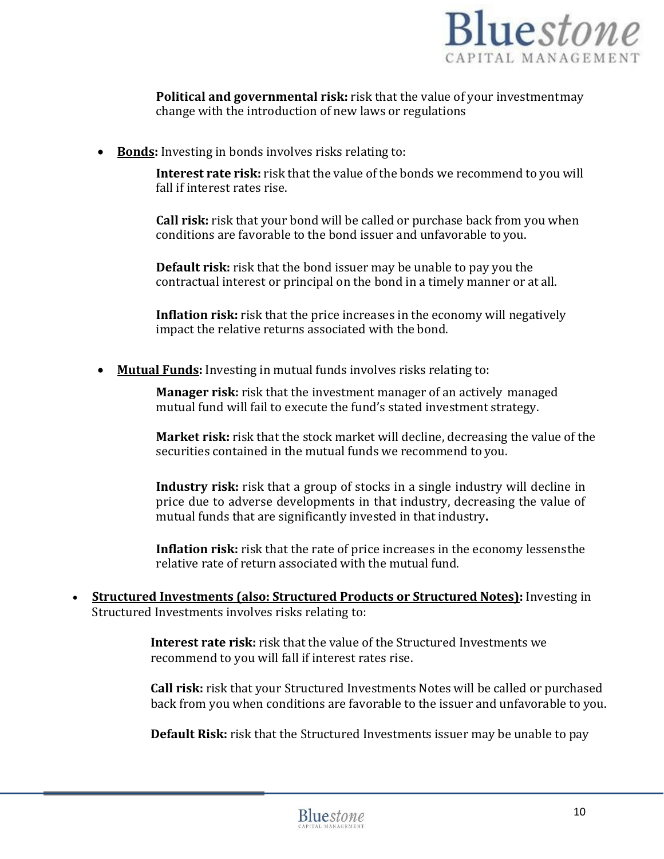

**Political and governmental risk:** risk that the value of your investmentmay change with the introduction of new laws or regulations

• **Bonds:** Investing in bonds involves risks relating to:

**Interest rate risk:** risk that the value of the bonds we recommend to you will fall if interest rates rise.

**Call risk:** risk that your bond will be called or purchase back from you when conditions are favorable to the bond issuer and unfavorable to you.

**Default risk:** risk that the bond issuer may be unable to pay you the contractual interest or principal on the bond in a timely manner or at all.

**Inflation risk:** risk that the price increases in the economy will negatively impact the relative returns associated with the bond.

• **Mutual Funds:** Investing in mutual funds involves risks relating to:

**Manager risk:** risk that the investment manager of an actively managed mutual fund will fail to execute the fund's stated investment strategy.

**Market risk:** risk that the stock market will decline, decreasing the value of the securities contained in the mutual funds we recommend to you.

**Industry risk:** risk that a group of stocks in a single industry will decline in price due to adverse developments in that industry, decreasing the value of mutual funds that are significantly invested in that industry**.**

**Inflation risk:** risk that the rate of price increases in the economy lessensthe relative rate of return associated with the mutual fund.

• **Structured Investments (also: Structured Products or Structured Notes):** Investing in Structured Investments involves risks relating to:

> **Interest rate risk:** risk that the value of the Structured Investments we recommend to you will fall if interest rates rise.

**Call risk:** risk that your Structured Investments Notes will be called or purchased back from you when conditions are favorable to the issuer and unfavorable to you.

**Default Risk:** risk that the Structured Investments issuer may be unable to pay

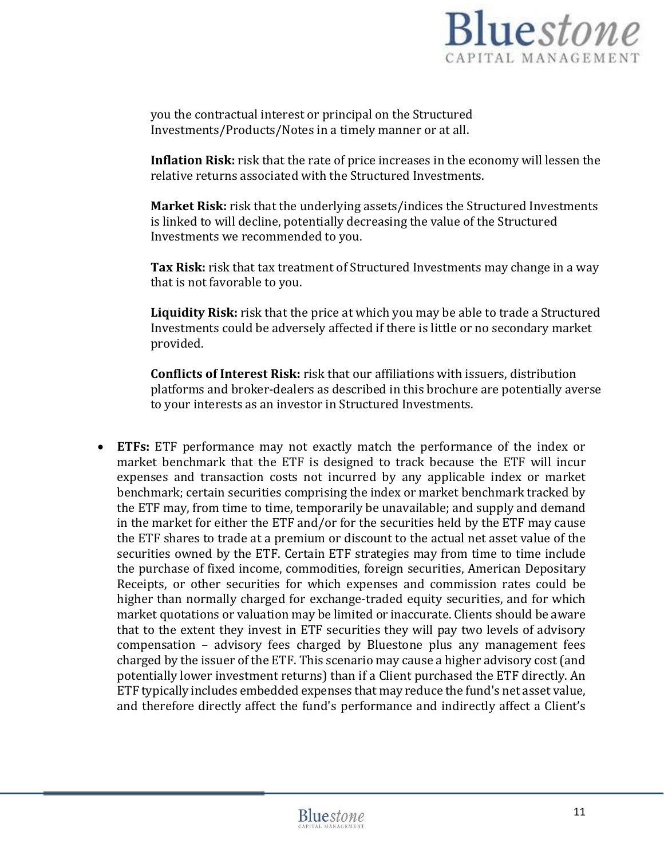

you the contractual interest or principal on the Structured Investments/Products/Notes in a timely manner or at all.

**Inflation Risk:** risk that the rate of price increases in the economy will lessen the relative returns associated with the Structured Investments.

**Market Risk:** risk that the underlying assets/indices the Structured Investments is linked to will decline, potentially decreasing the value of the Structured Investments we recommended to you.

**Tax Risk:** risk that tax treatment of Structured Investments may change in a way that is not favorable to you.

**Liquidity Risk:** risk that the price at which you may be able to trade a Structured Investments could be adversely affected if there is little or no secondary market provided.

**Conflicts of Interest Risk:** risk that our affiliations with issuers, distribution platforms and broker-dealers as described in this brochure are potentially averse to your interests as an investor in Structured Investments.

• **ETFs:** ETF performance may not exactly match the performance of the index or market benchmark that the ETF is designed to track because the ETF will incur expenses and transaction costs not incurred by any applicable index or market benchmark; certain securities comprising the index or market benchmark tracked by the ETF may, from time to time, temporarily be unavailable; and supply and demand in the market for either the ETF and/or for the securities held by the ETF may cause the ETF shares to trade at a premium or discount to the actual net asset value of the securities owned by the ETF. Certain ETF strategies may from time to time include the purchase of fixed income, commodities, foreign securities, American Depositary Receipts, or other securities for which expenses and commission rates could be higher than normally charged for exchange-traded equity securities, and for which market quotations or valuation may be limited or inaccurate. Clients should be aware that to the extent they invest in ETF securities they will pay two levels of advisory compensation – advisory fees charged by Bluestone plus any management fees charged by the issuer of the ETF. This scenario may cause a higher advisory cost (and potentially lower investment returns) than if a Client purchased the ETF directly. An ETF typically includes embedded expenses that may reduce the fund's net asset value, and therefore directly affect the fund's performance and indirectly affect a Client's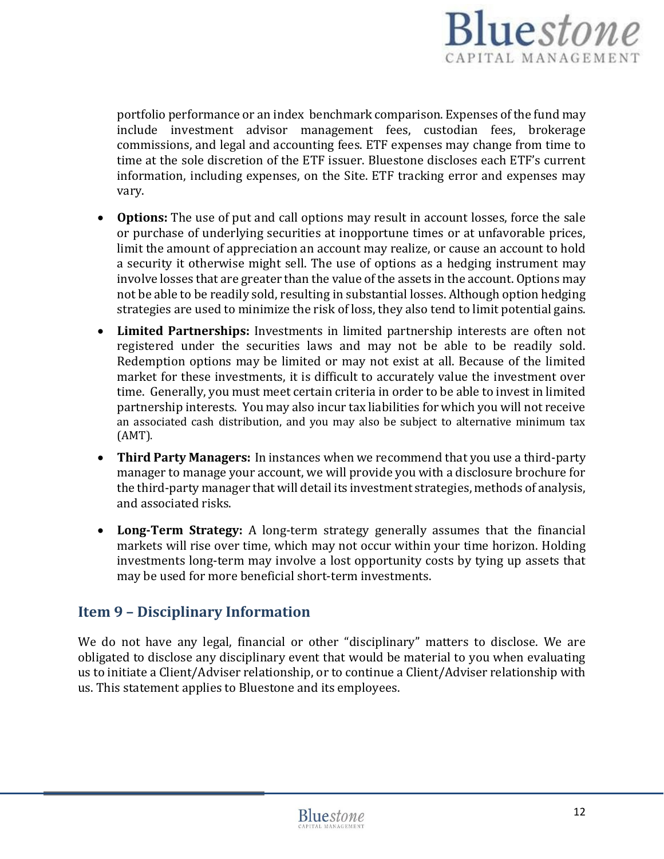

portfolio performance or an index benchmark comparison. Expenses of the fund may include investment advisor management fees, custodian fees, brokerage commissions, and legal and accounting fees. ETF expenses may change from time to time at the sole discretion of the ETF issuer. Bluestone discloses each ETF's current information, including expenses, on the Site. ETF tracking error and expenses may vary.

- **Options:** The use of put and call options may result in account losses, force the sale or purchase of underlying securities at inopportune times or at unfavorable prices, limit the amount of appreciation an account may realize, or cause an account to hold a security it otherwise might sell. The use of options as a hedging instrument may involve losses that are greater than the value of the assets in the account. Options may not be able to be readily sold, resulting in substantial losses. Although option hedging strategies are used to minimize the risk of loss, they also tend to limit potential gains.
- **Limited Partnerships:** Investments in limited partnership interests are often not registered under the securities laws and may not be able to be readily sold. Redemption options may be limited or may not exist at all. Because of the limited market for these investments, it is difficult to accurately value the investment over time. Generally, you must meet certain criteria in order to be able to invest in limited partnership interests. You may also incur tax liabilities for which you will not receive an associated cash distribution, and you may also be subject to alternative minimum tax (AMT).
- **Third Party Managers:** In instances when we recommend that you use a third-party manager to manage your account, we will provide you with a disclosure brochure for the third-party manager that will detail its investment strategies, methods of analysis, and associated risks.
- **Long-Term Strategy:** A long-term strategy generally assumes that the financial markets will rise over time, which may not occur within your time horizon. Holding investments long-term may involve a lost opportunity costs by tying up assets that may be used for more beneficial short-term investments.

## <span id="page-11-0"></span>**Item 9 – Disciplinary Information**

We do not have any legal, financial or other "disciplinary" matters to disclose. We are obligated to disclose any disciplinary event that would be material to you when evaluating us to initiate a Client/Adviser relationship, or to continue a Client/Adviser relationship with us. This statement applies to Bluestone and its employees.

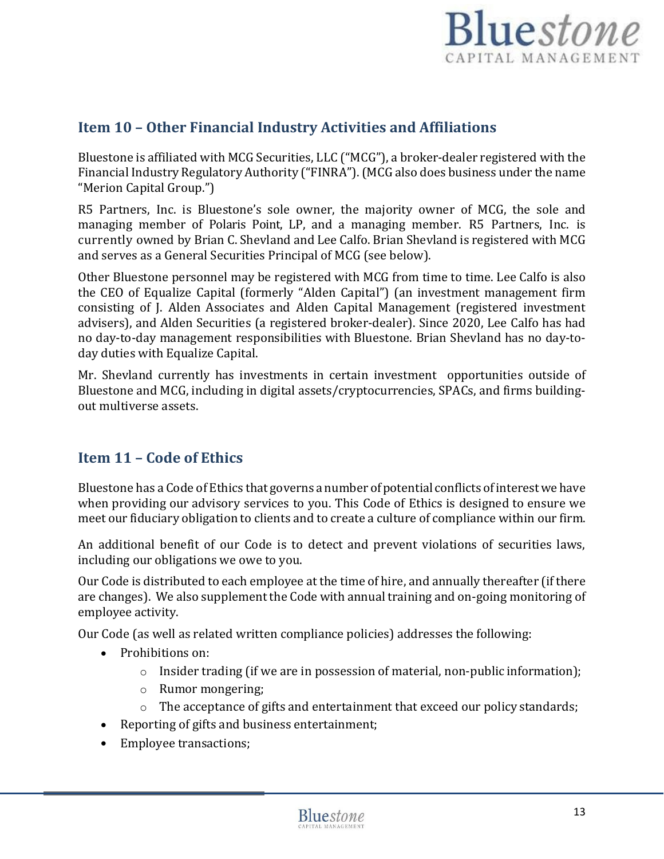## **Bluestone** CAPITAL MANAGEMENT

## <span id="page-12-0"></span>**Item 10 – Other Financial Industry Activities and Affiliations**

Bluestone is affiliated with MCG Securities, LLC ("MCG"), a broker-dealer registered with the Financial Industry Regulatory Authority ("FINRA"). (MCG also does business under the name "Merion Capital Group.")

R5 Partners, Inc. is Bluestone's sole owner, the majority owner of MCG, the sole and managing member of Polaris Point, LP, and a managing member. R5 Partners, Inc. is currently owned by Brian C. Shevland and Lee Calfo. Brian Shevland is registered with MCG and serves as a General Securities Principal of MCG (see below).

Other Bluestone personnel may be registered with MCG from time to time. Lee Calfo is also the CEO of Equalize Capital (formerly "Alden Capital") (an investment management firm consisting of J. Alden Associates and Alden Capital Management (registered investment advisers), and Alden Securities (a registered broker-dealer). Since 2020, Lee Calfo has had no day-to-day management responsibilities with Bluestone. Brian Shevland has no day-today duties with Equalize Capital.

Mr. Shevland currently has investments in certain investment opportunities outside of Bluestone and MCG, including in digital assets/cryptocurrencies, SPACs, and firms buildingout multiverse assets.

## <span id="page-12-1"></span>**Item 11 – Code of Ethics**

Bluestone has a Code of Ethics that governs a number of potential conflicts of interest we have when providing our advisory services to you. This Code of Ethics is designed to ensure we meet our fiduciary obligation to clients and to create a culture of compliance within our firm.

An additional benefit of our Code is to detect and prevent violations of securities laws, including our obligations we owe to you.

Our Code is distributed to each employee at the time of hire, and annually thereafter (if there are changes). We also supplement the Code with annual training and on-going monitoring of employee activity.

Our Code (as well as related written compliance policies) addresses the following:

- Prohibitions on:
	- $\circ$  Insider trading (if we are in possession of material, non-public information);
	- o Rumor mongering;
	- The acceptance of gifts and entertainment that exceed our policy standards;
- Reporting of gifts and business entertainment;
- Employee transactions;

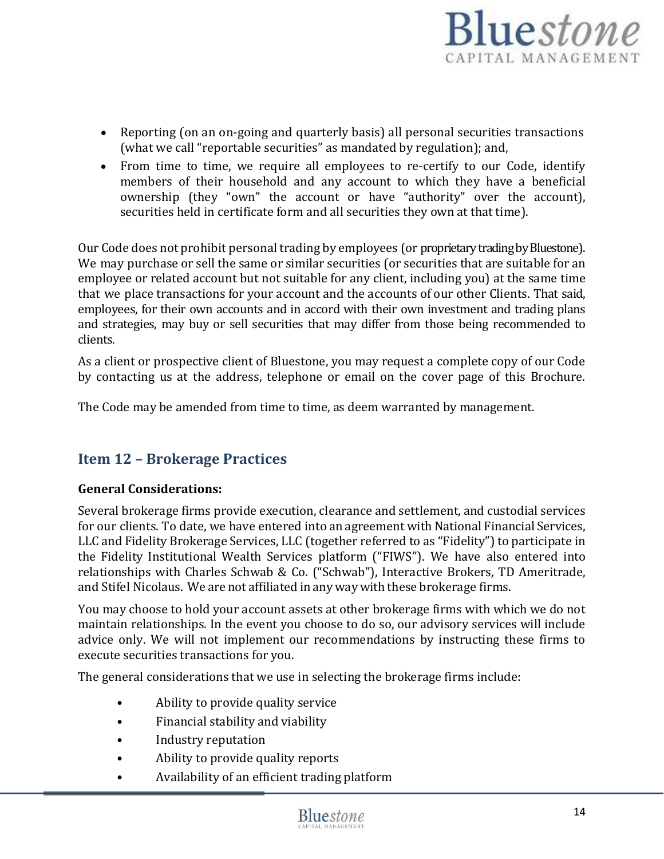

- Reporting (on an on-going and quarterly basis) all personal securities transactions (what we call "reportable securities" as mandated by regulation); and,
- From time to time, we require all employees to re-certify to our Code, identify members of their household and any account to which they have a beneficial ownership (they "own" the account or have "authority" over the account), securities held in certificate form and all securities they own at that time).

Our Code does not prohibit personal trading by employees (or proprietary trading by Bluestone). We may purchase or sell the same or similar securities (or securities that are suitable for an employee or related account but not suitable for any client, including you) at the same time that we place transactions for your account and the accounts of our other Clients. That said, employees, for their own accounts and in accord with their own investment and trading plans and strategies, may buy or sell securities that may differ from those being recommended to clients.

As a client or prospective client of Bluestone, you may request a complete copy of our Code by contacting us at the address, telephone or email on the cover page of this Brochure.

The Code may be amended from time to time, as deem warranted by management.

## <span id="page-13-0"></span>**Item 12 – Brokerage Practices**

#### **General Considerations:**

Several brokerage firms provide execution, clearance and settlement, and custodial services for our clients. To date, we have entered into an agreement with National Financial Services, LLC and Fidelity Brokerage Services, LLC (together referred to as "Fidelity") to participate in the Fidelity Institutional Wealth Services platform ("FIWS"). We have also entered into relationships with Charles Schwab & Co. ("Schwab"), Interactive Brokers, TD Ameritrade, and Stifel Nicolaus. We are not affiliated in anyway with these brokerage firms.

You may choose to hold your account assets at other brokerage firms with which we do not maintain relationships. In the event you choose to do so, our advisory services will include advice only. We will not implement our recommendations by instructing these firms to execute securities transactions for you.

The general considerations that we use in selecting the brokerage firms include:

- Ability to provide quality service
- Financial stability and viability
- Industry reputation
- Ability to provide quality reports
- Availability of an efficient trading platform

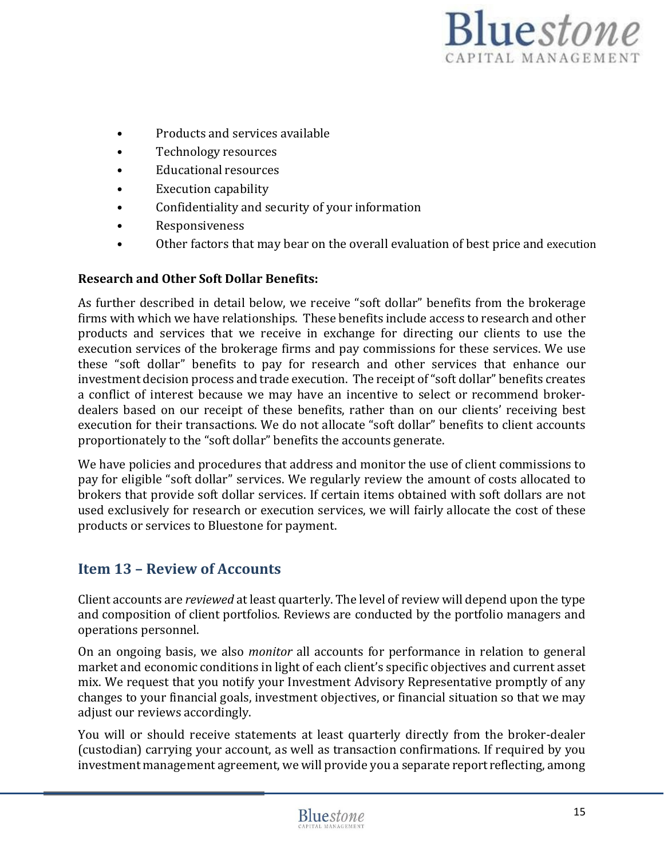

- Products and services available
- Technology resources
- Educational resources
- Execution capability
- Confidentiality and security of your information
- Responsiveness
- Other factors that may bear on the overall evaluation of best price and execution

#### **Research and Other Soft Dollar Benefits:**

As further described in detail below, we receive "soft dollar" benefits from the brokerage firms with which we have relationships. These benefits include access to research and other products and services that we receive in exchange for directing our clients to use the execution services of the brokerage firms and pay commissions for these services. We use these "soft dollar" benefits to pay for research and other services that enhance our investment decision process and trade execution. The receipt of"soft dollar" benefits creates a conflict of interest because we may have an incentive to select or recommend brokerdealers based on our receipt of these benefits, rather than on our clients' receiving best execution for their transactions. We do not allocate "soft dollar" benefits to client accounts proportionately to the "soft dollar" benefits the accounts generate.

We have policies and procedures that address and monitor the use of client commissions to pay for eligible "soft dollar" services. We regularly review the amount of costs allocated to brokers that provide soft dollar services. If certain items obtained with soft dollars are not used exclusively for research or execution services, we will fairly allocate the cost of these products or services to Bluestone for payment.

### <span id="page-14-0"></span>**Item 13 – Review of Accounts**

Client accounts are *reviewed* at least quarterly. The level of review will depend upon the type and composition of client portfolios. Reviews are conducted by the portfolio managers and operations personnel.

On an ongoing basis, we also *monitor* all accounts for performance in relation to general market and economic conditions in light of each client's specific objectives and current asset mix. We request that you notify your Investment Advisory Representative promptly of any changes to your financial goals, investment objectives, or financial situation so that we may adjust our reviews accordingly.

You will or should receive statements at least quarterly directly from the broker-dealer (custodian) carrying your account, as well as transaction confirmations. If required by you investment management agreement, we will provide you a separate report reflecting, among

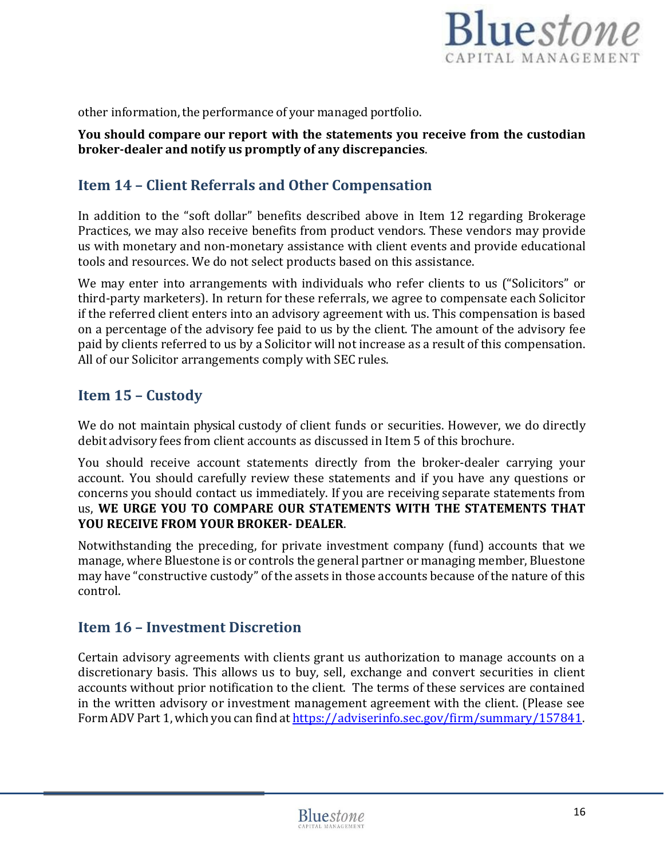

other information, the performance of your managed portfolio.

**You should compare our report with the statements you receive from the custodian broker-dealer and notify us promptly of any discrepancies**.

## <span id="page-15-0"></span>**Item 14 – Client Referrals and Other Compensation**

In addition to the "soft dollar" benefits described above in Item 12 regarding Brokerage Practices, we may also receive benefits from product vendors. These vendors may provide us with monetary and non-monetary assistance with client events and provide educational tools and resources. We do not select products based on this assistance.

We may enter into arrangements with individuals who refer clients to us ("Solicitors" or third-party marketers). In return for these referrals, we agree to compensate each Solicitor if the referred client enters into an advisory agreement with us. This compensation is based on a percentage of the advisory fee paid to us by the client. The amount of the advisory fee paid by clients referred to us by a Solicitor will not increase as a result of this compensation. All of our Solicitor arrangements comply with SEC rules.

## <span id="page-15-1"></span>**Item 15 – Custody**

We do not maintain physical custody of client funds or securities. However, we do directly debit advisory fees from client accounts as discussed in Item 5 of this brochure.

You should receive account statements directly from the broker-dealer carrying your account. You should carefully review these statements and if you have any questions or concerns you should contact us immediately. If you are receiving separate statements from us, **WE URGE YOU TO COMPARE OUR STATEMENTS WITH THE STATEMENTS THAT YOU RECEIVE FROM YOUR BROKER- DEALER**.

Notwithstanding the preceding, for private investment company (fund) accounts that we manage, where Bluestone is or controls the general partner or managing member, Bluestone may have "constructive custody" of the assets in those accounts because of the nature of this control.

## <span id="page-15-2"></span>**Item 16 – Investment Discretion**

Certain advisory agreements with clients grant us authorization to manage accounts on a discretionary basis. This allows us to buy, sell, exchange and convert securities in client accounts without prior notification to the client. The terms of these services are contained in the written advisory or investment management agreement with the client. (Please see Form ADV Part 1, which you can find at [https://adviserinfo.sec.gov/firm/summary/157841.](https://adviserinfo.sec.gov/firm/summary/157841)

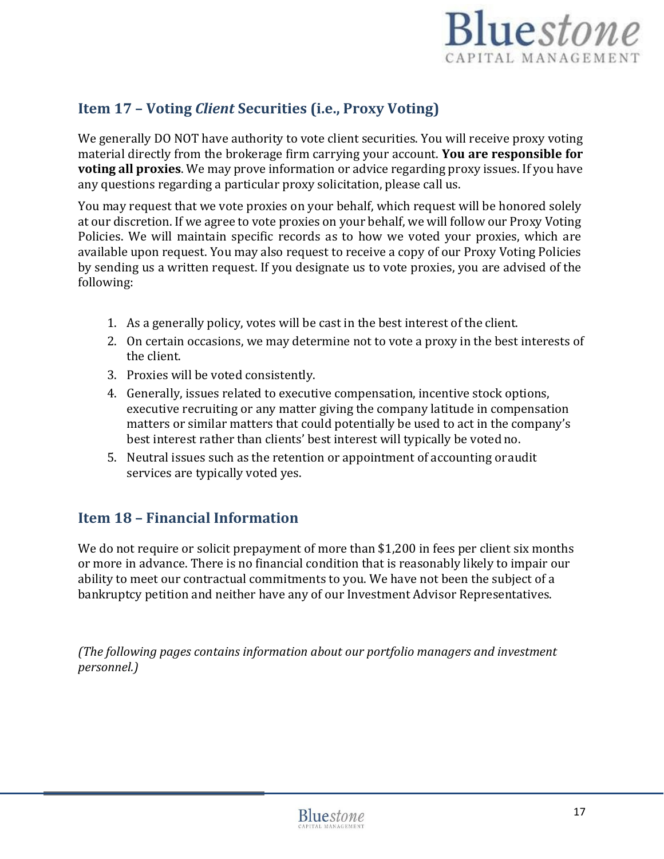

## <span id="page-16-0"></span>**Item 17 – Voting** *Client* **Securities (i.e., Proxy Voting)**

We generally DO NOT have authority to vote client securities. You will receive proxy voting material directly from the brokerage firm carrying your account. **You are responsible for voting all proxies**. We may prove information or advice regarding proxy issues. If you have any questions regarding a particular proxy solicitation, please call us.

You may request that we vote proxies on your behalf, which request will be honored solely at our discretion. If we agree to vote proxies on your behalf, we will follow our Proxy Voting Policies. We will maintain specific records as to how we voted your proxies, which are available upon request. You may also request to receive a copy of our Proxy Voting Policies by sending us a written request. If you designate us to vote proxies, you are advised of the following:

- 1. As a generally policy, votes will be cast in the best interest of the client.
- 2. On certain occasions, we may determine not to vote a proxy in the best interests of the client.
- 3. Proxies will be voted consistently.
- 4. Generally, issues related to executive compensation, incentive stock options, executive recruiting or any matter giving the company latitude in compensation matters or similar matters that could potentially be used to act in the company's best interest rather than clients' best interest will typically be voted no.
- 5. Neutral issues such as the retention or appointment of accounting oraudit services are typically voted yes.

## <span id="page-16-1"></span>**Item 18 – Financial Information**

We do not require or solicit prepayment of more than \$1,200 in fees per client six months or more in advance. There is no financial condition that is reasonably likely to impair our ability to meet our contractual commitments to you. We have not been the subject of a bankruptcy petition and neither have any of our Investment Advisor Representatives.

*(The following pages contains information about our portfolio managers and investment personnel.)*

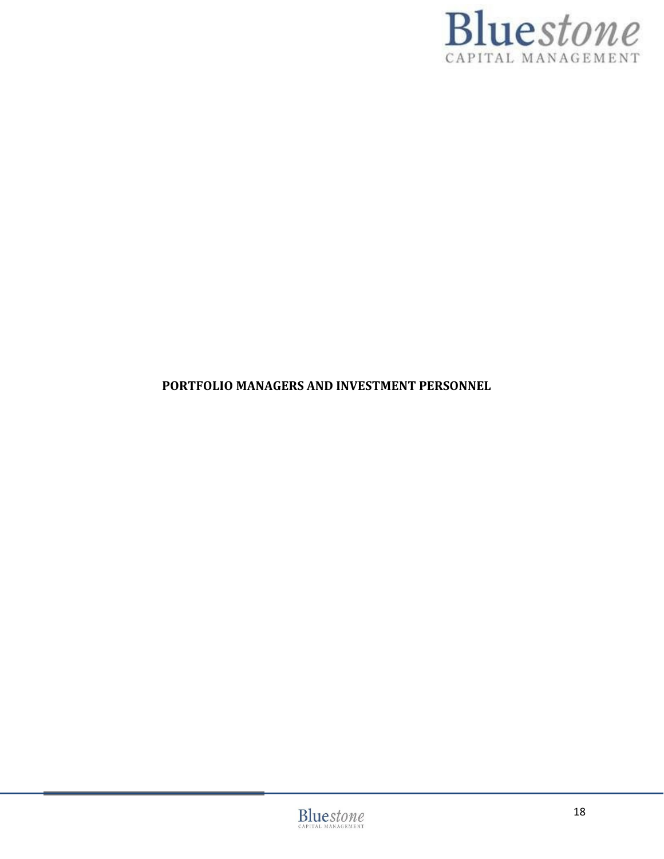

## **PORTFOLIO MANAGERS AND INVESTMENT PERSONNEL**

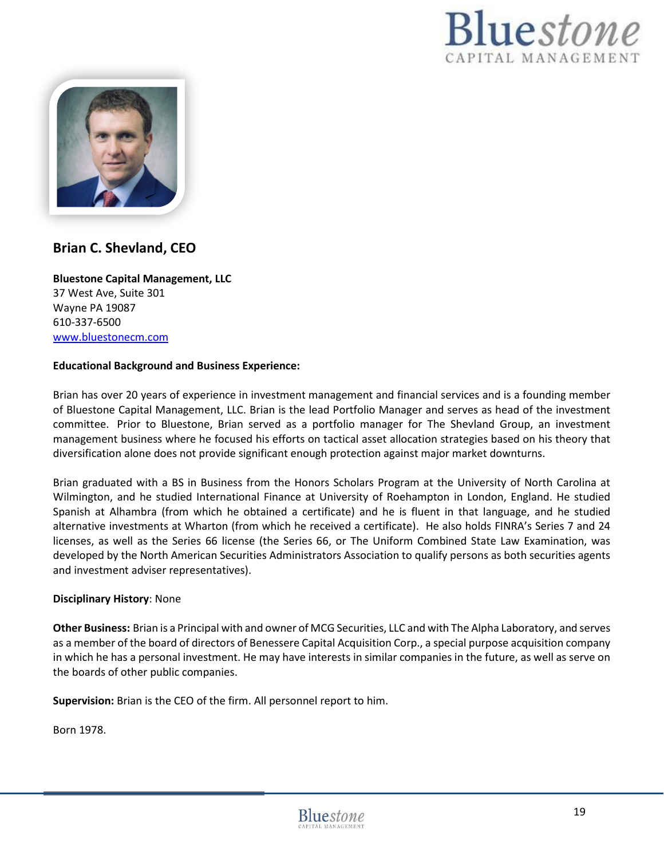



### **Brian C. Shevland, CEO**

**Bluestone Capital Management, LLC** 37 West Ave, Suite 301 Wayne PA 19087 610-337-6500 [www.bluestonecm.com](http://www.bluestonecm.com/)

#### **Educational Background and Business Experience:**

Brian has over 20 years of experience in investment management and financial services and is a founding member of Bluestone Capital Management, LLC. Brian is the lead Portfolio Manager and serves as head of the investment committee. Prior to Bluestone, Brian served as a portfolio manager for The Shevland Group, an investment management business where he focused his efforts on tactical asset allocation strategies based on his theory that diversification alone does not provide significant enough protection against major market downturns.

Brian graduated with a BS in Business from the Honors Scholars Program at the University of North Carolina at Wilmington, and he studied International Finance at University of Roehampton in London, England. He studied Spanish at Alhambra (from which he obtained a certificate) and he is fluent in that language, and he studied alternative investments at Wharton (from which he received a certificate). He also holds FINRA's Series 7 and 24 licenses, as well as the Series 66 license (the Series 66, or The Uniform Combined State Law Examination, was developed by the North American Securities Administrators Association to qualify persons as both securities agents and investment adviser representatives).

#### **Disciplinary History**: None

**Other Business:** Brian is a Principal with and owner of MCG Securities, LLC and with The Alpha Laboratory, and serves as a member of the board of directors of Benessere Capital Acquisition Corp., a special purpose acquisition company in which he has a personal investment. He may have interests in similar companies in the future, as well as serve on the boards of other public companies.

**Supervision:** Brian is the CEO of the firm. All personnel report to him.

Born 1978.